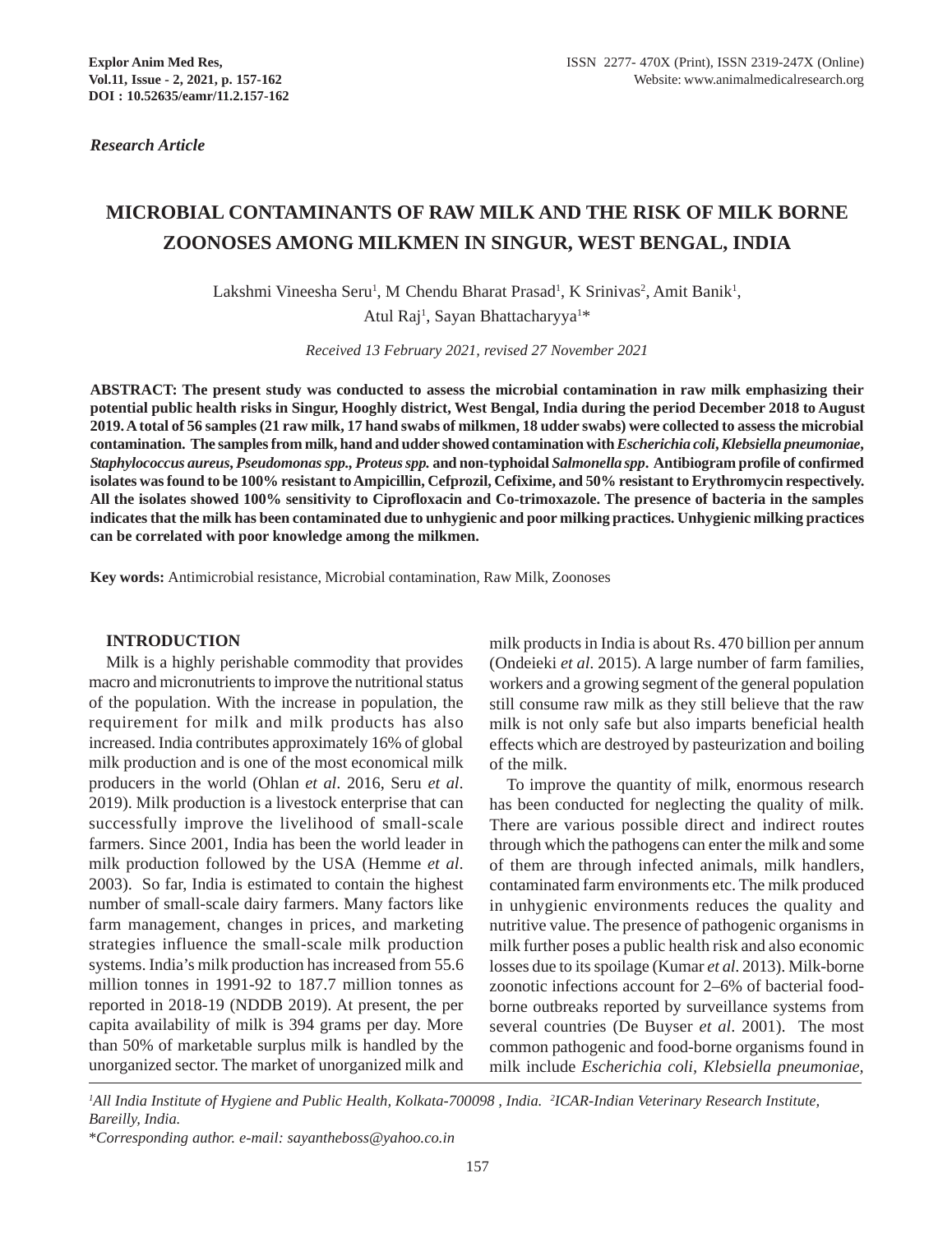*Research Article*

# **MICROBIAL CONTAMINANTS OF RAW MILK AND THE RISK OF MILK BORNE ZOONOSES AMONG MILKMEN IN SINGUR, WEST BENGAL, INDIA**

Lakshmi Vineesha Seru<sup>1</sup>, M Chendu Bharat Prasad<sup>1</sup>, K Srinivas<sup>2</sup>, Amit Banik<sup>1</sup>, Atul Raj<sup>1</sup>, Sayan Bhattacharyya<sup>1\*</sup>

*Received 13 February 2021, revised 27 November 2021*

**ABSTRACT: The present study was conducted to assess the microbial contamination in raw milk emphasizing their potential public health risks in Singur, Hooghly district, West Bengal, India during the period December 2018 to August 2019. A total of 56 samples (21 raw milk, 17 hand swabs of milkmen, 18 udder swabs) were collected to assess the microbial contamination. The samples from milk, hand and udder showed contamination with** *Escherichia coli***,** *Klebsiella pneumoniae***,** *Staphylococcus aureus***,** *Pseudomonas spp., Proteus spp.* **and non-typhoidal** *Salmonella spp***. Antibiogram profile of confirmed isolates was found to be 100% resistant to Ampicillin, Cefprozil, Cefixime, and 50% resistant to Erythromycin respectively. All the isolates showed 100% sensitivity to Ciprofloxacin and Co-trimoxazole. The presence of bacteria in the samples indicates that the milk has been contaminated due to unhygienic and poor milking practices. Unhygienic milking practices can be correlated with poor knowledge among the milkmen.**

**Key words:** Antimicrobial resistance, Microbial contamination, Raw Milk, Zoonoses

#### **INTRODUCTION**

Milk is a highly perishable commodity that provides macro and micronutrients to improve the nutritional status of the population. With the increase in population, the requirement for milk and milk products has also increased. India contributes approximately 16% of global milk production and is one of the most economical milk producers in the world (Ohlan *et al*. 2016, Seru *et al*. 2019). Milk production is a livestock enterprise that can successfully improve the livelihood of small-scale farmers. Since 2001, India has been the world leader in milk production followed by the USA (Hemme *et al*. 2003). So far, India is estimated to contain the highest number of small-scale dairy farmers. Many factors like farm management, changes in prices, and marketing strategies influence the small-scale milk production systems. India's milk production has increased from 55.6 million tonnes in 1991-92 to 187.7 million tonnes as reported in 2018-19 (NDDB 2019). At present, the per capita availability of milk is 394 grams per day. More than 50% of marketable surplus milk is handled by the unorganized sector. The market of unorganized milk and

milk products in India is about Rs. 470 billion per annum (Ondeieki *et al*. 2015). A large number of farm families, workers and a growing segment of the general population still consume raw milk as they still believe that the raw milk is not only safe but also imparts beneficial health effects which are destroyed by pasteurization and boiling of the milk.

To improve the quantity of milk, enormous research has been conducted for neglecting the quality of milk. There are various possible direct and indirect routes through which the pathogens can enter the milk and some of them are through infected animals, milk handlers, contaminated farm environments etc. The milk produced in unhygienic environments reduces the quality and nutritive value. The presence of pathogenic organisms in milk further poses a public health risk and also economic losses due to its spoilage (Kumar *et al*. 2013). Milk-borne zoonotic infections account for 2–6% of bacterial foodborne outbreaks reported by surveillance systems from several countries (De Buyser *et al*. 2001). The most common pathogenic and food-borne organisms found in milk include *Escherichia coli, Klebsiella pneumoniae,*

*1 All India Institute of Hygiene and Public Health, Kolkata-700098 , India. 2 ICAR-Indian Veterinary Research Institute, Bareilly, India.*

<sup>\*</sup>*Corresponding author. e-mail: sayantheboss@yahoo.co.in*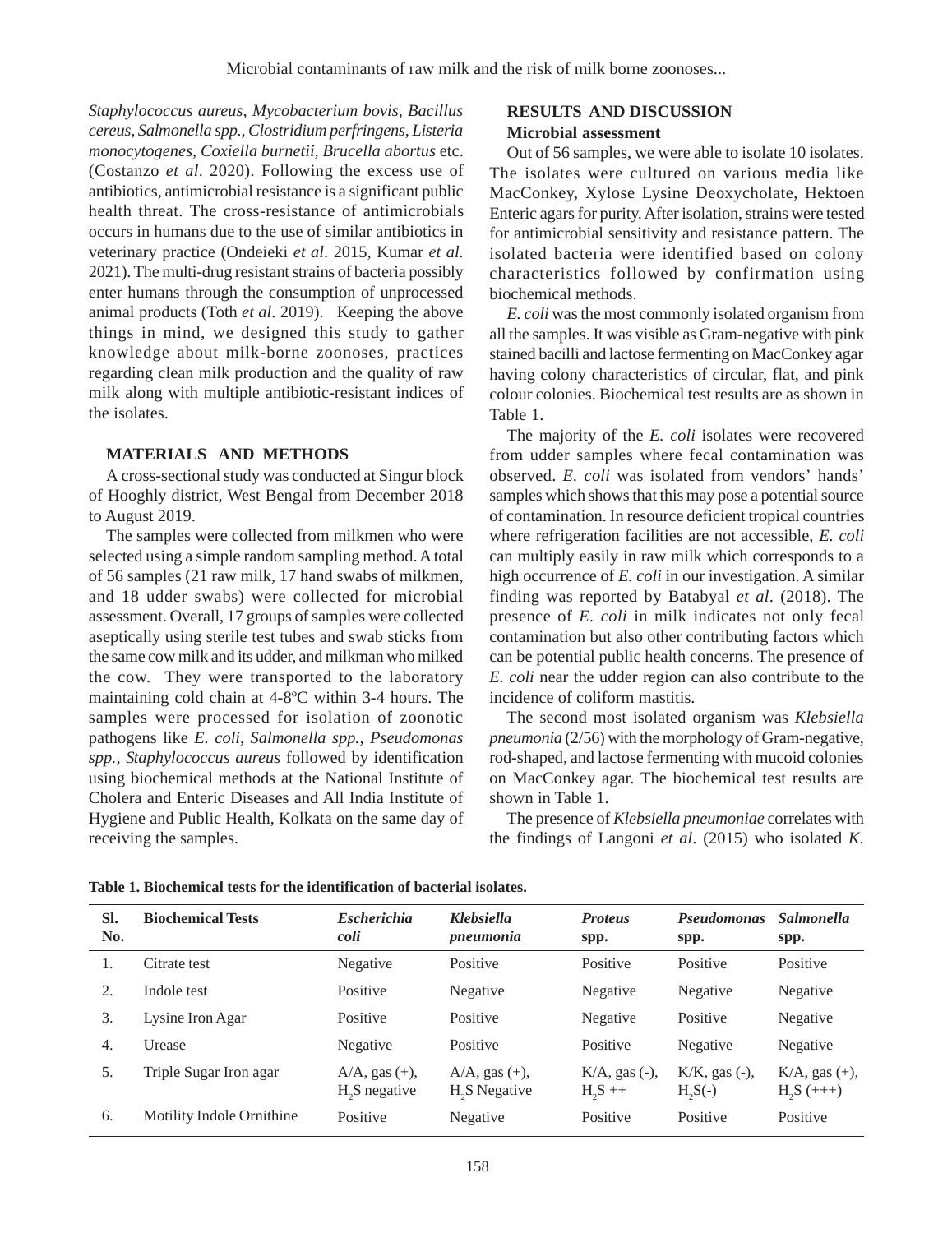*Staphylococcus aureus, Mycobacterium bovis, Bacillus cereus, Salmonella spp., Clostridium perfringens, Listeria monocytogenes*, *Coxiella burnetii, Brucella abortus* etc. (Costanzo *et al*. 2020). Following the excess use of antibiotics, antimicrobial resistance is a significant public health threat. The cross-resistance of antimicrobials occurs in humans due to the use of similar antibiotics in veterinary practice (Ondeieki *et al*. 2015, Kumar *et al.* 2021). The multi-drug resistant strains of bacteria possibly enter humans through the consumption of unprocessed animal products (Toth *et al*. 2019). Keeping the above things in mind, we designed this study to gather knowledge about milk-borne zoonoses, practices regarding clean milk production and the quality of raw milk along with multiple antibiotic-resistant indices of the isolates.

## **MATERIALS AND METHODS**

A cross-sectional study was conducted at Singur block of Hooghly district, West Bengal from December 2018 to August 2019.

The samples were collected from milkmen who were selected using a simple random sampling method. A total of 56 samples (21 raw milk, 17 hand swabs of milkmen, and 18 udder swabs) were collected for microbial assessment. Overall, 17 groups of samples were collected aseptically using sterile test tubes and swab sticks from the same cow milk and its udder, and milkman who milked the cow. They were transported to the laboratory maintaining cold chain at 4-8ºC within 3-4 hours. The samples were processed for isolation of zoonotic pathogens like *E. coli, Salmonella spp., Pseudomonas spp., Staphylococcus aureus* followed by identification using biochemical methods at the National Institute of Cholera and Enteric Diseases and All India Institute of Hygiene and Public Health, Kolkata on the same day of receiving the samples.

# **RESULTS AND DISCUSSION Microbial assessment**

Out of 56 samples, we were able to isolate 10 isolates. The isolates were cultured on various media like MacConkey, Xylose Lysine Deoxycholate, Hektoen Enteric agars for purity. After isolation, strains were tested for antimicrobial sensitivity and resistance pattern. The isolated bacteria were identified based on colony characteristics followed by confirmation using biochemical methods.

*E. coli* was the most commonly isolated organism from all the samples. It was visible as Gram-negative with pink stained bacilli and lactose fermenting on MacConkey agar having colony characteristics of circular, flat, and pink colour colonies. Biochemical test results are as shown in Table 1.

The majority of the *E. coli* isolates were recovered from udder samples where fecal contamination was observed. *E. coli* was isolated from vendors' hands' samples which shows that this may pose a potential source of contamination. In resource deficient tropical countries where refrigeration facilities are not accessible, *E. coli* can multiply easily in raw milk which corresponds to a high occurrence of *E. coli* in our investigation. A similar finding was reported by Batabyal *et al*. (2018). The presence of *E. coli* in milk indicates not only fecal contamination but also other contributing factors which can be potential public health concerns. The presence of *E. coli* near the udder region can also contribute to the incidence of coliform mastitis.

The second most isolated organism was *Klebsiella pneumonia* (2/56) with the morphology of Gram-negative, rod-shaped, and lactose fermenting with mucoid colonies on MacConkey agar. The biochemical test results are shown in Table 1.

The presence of *Klebsiella pneumoniae* correlates with the findings of Langoni *et al*. (2015) who isolated *K.*

| SI.<br>No. | <b>Biochemical Tests</b>  | <b>Escherichia</b><br>coli                       | <b>Klebsiella</b><br>pneumonia                   | <b>Proteus</b><br>spp.              | <b>Pseudomonas</b><br>spp.      | <b>Salmonella</b><br>spp.             |
|------------|---------------------------|--------------------------------------------------|--------------------------------------------------|-------------------------------------|---------------------------------|---------------------------------------|
|            | Citrate test              | Negative                                         | Positive                                         | Positive                            | Positive                        | Positive                              |
| 2.         | Indole test               | Positive                                         | Negative                                         | Negative                            | Negative                        | Negative                              |
| 3.         | Lysine Iron Agar          | Positive                                         | Positive                                         | Negative                            | Positive                        | Negative                              |
| 4.         | Urease                    | Negative                                         | Positive                                         | Positive                            | Negative                        | Negative                              |
| 5.         | Triple Sugar Iron agar    | $A/A$ , gas $(+)$ ,<br>H <sub>2</sub> S negative | $A/A$ , gas $(+)$ ,<br>H <sub>2</sub> S Negative | $K/A$ , gas $(-)$ ,<br>$H_{2}S + +$ | $K/K$ , gas $(-)$ ,<br>$H2S(-)$ | $K/A$ , gas $(+)$ ,<br>$H_{2}S (+++)$ |
| 6.         | Motility Indole Ornithine | Positive                                         | Negative                                         | Positive                            | Positive                        | Positive                              |

**Table 1. Biochemical tests for the identification of bacterial isolates.**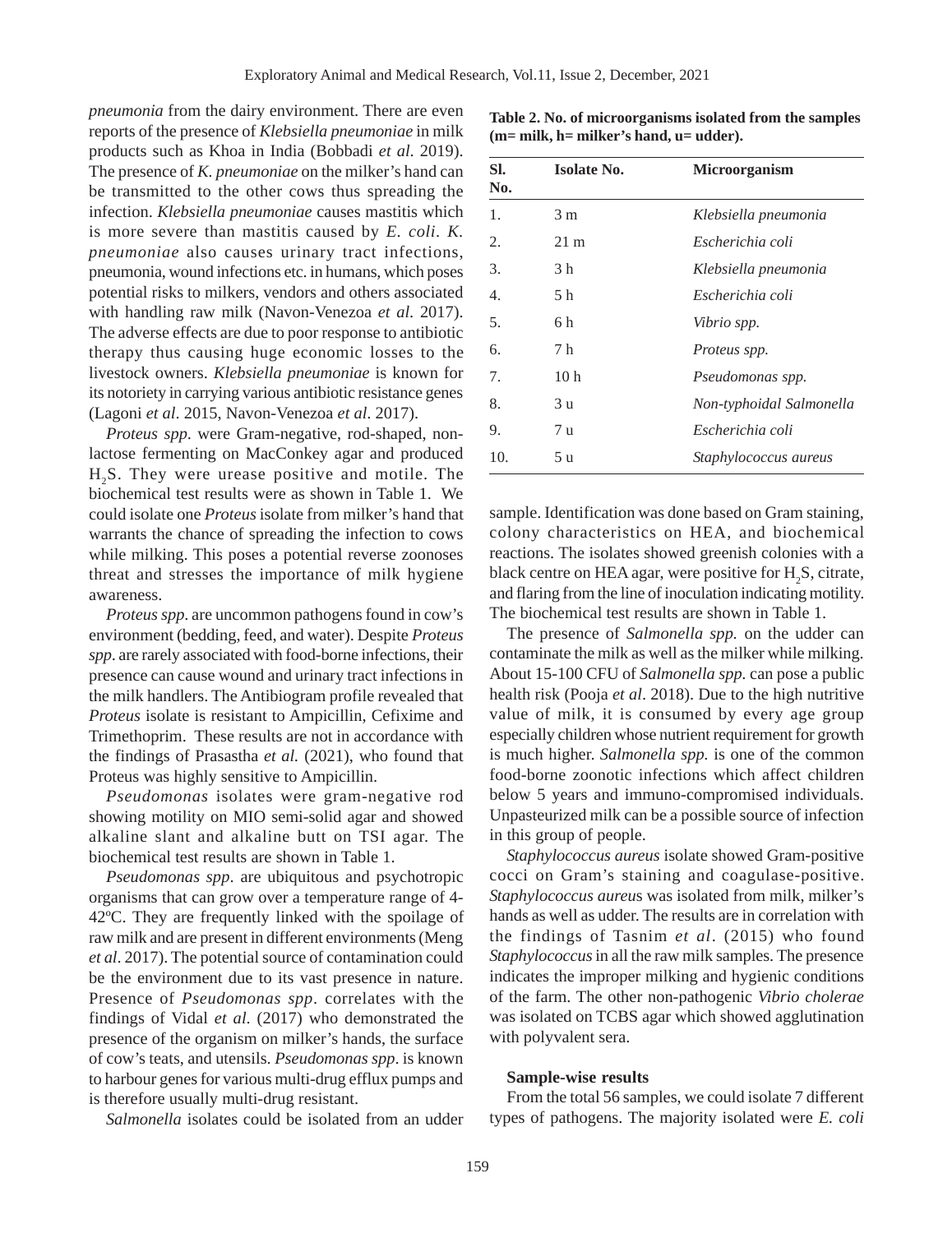*pneumonia* from the dairy environment. There are even reports of the presence of *Klebsiella pneumoniae* in milk products such as Khoa in India (Bobbadi *et al*. 2019). The presence of *K. pneumoniae* on the milker's hand can be transmitted to the other cows thus spreading the infection. *Klebsiella pneumoniae* causes mastitis which is more severe than mastitis caused by *E. coli*. *K. pneumoniae* also causes urinary tract infections, pneumonia, wound infections etc. in humans, which poses potential risks to milkers, vendors and others associated with handling raw milk (Navon-Venezoa *et al*. 2017). The adverse effects are due to poor response to antibiotic therapy thus causing huge economic losses to the livestock owners. *Klebsiella pneumoniae* is known for its notoriety in carrying various antibiotic resistance genes (Lagoni *et al*. 2015, Navon-Venezoa *et al*. 2017).

*Proteus spp*. were Gram-negative, rod-shaped, nonlactose fermenting on MacConkey agar and produced H2S. They were urease positive and motile. The biochemical test results were as shown in Table 1. We could isolate one *Proteus* isolate from milker's hand that warrants the chance of spreading the infection to cows while milking. This poses a potential reverse zoonoses threat and stresses the importance of milk hygiene awareness.

*Proteus spp*. are uncommon pathogens found in cow's environment (bedding, feed, and water). Despite *Proteus spp*. are rarely associated with food-borne infections, their presence can cause wound and urinary tract infections in the milk handlers. The Antibiogram profile revealed that *Proteus* isolate is resistant to Ampicillin, Cefixime and Trimethoprim. These results are not in accordance with the findings of Prasastha *et al.* (2021), who found that Proteus was highly sensitive to Ampicillin.

*Pseudomonas* isolates were gram-negative rod showing motility on MIO semi-solid agar and showed alkaline slant and alkaline butt on TSI agar. The biochemical test results are shown in Table 1.

*Pseudomonas spp*. are ubiquitous and psychotropic organisms that can grow over a temperature range of 4- 42ºC. They are frequently linked with the spoilage of raw milk and are present in different environments (Meng *et al*. 2017). The potential source of contamination could be the environment due to its vast presence in nature. Presence of *Pseudomonas spp*. correlates with the findings of Vidal *et al*. (2017) who demonstrated the presence of the organism on milker's hands, the surface of cow's teats, and utensils. *Pseudomonas spp*. is known to harbour genes for various multi-drug efflux pumps and is therefore usually multi-drug resistant.

*Salmonella* isolates could be isolated from an udder

**Table 2. No. of microorganisms isolated from the samples (m= milk, h= milker's hand, u= udder).**

| SI.<br>No. | <b>Isolate No.</b> | <b>Microorganism</b>         |
|------------|--------------------|------------------------------|
| 1.         | 3 <sub>m</sub>     | Klebsiella pneumonia         |
| 2.         | $21 \text{ m}$     | Escherichia coli             |
| 3.         | 3 h                | Klebsiella pneumonia         |
| 4.         | 5 h                | Escherichia coli             |
| 5.         | 6 h                | Vibrio spp.                  |
| 6.         | 7 h                | Proteus spp.                 |
| 7.         | 10 <sub>h</sub>    | Pseudomonas spp.             |
| 8.         | 3 u                | Non-typhoidal Salmonella     |
| 9.         | 7 u                | Escherichia coli             |
| 10.        | 5 u                | <i>Staphylococcus aureus</i> |

sample. Identification was done based on Gram staining, colony characteristics on HEA, and biochemical reactions. The isolates showed greenish colonies with a black centre on HEA agar, were positive for  $H_2S$ , citrate, and flaring from the line of inoculation indicating motility. The biochemical test results are shown in Table 1.

The presence of *Salmonella spp.* on the udder can contaminate the milk as well as the milker while milking. About 15-100 CFU of *Salmonella spp.* can pose a public health risk (Pooja *et al*. 2018). Due to the high nutritive value of milk, it is consumed by every age group especially children whose nutrient requirement for growth is much higher. *Salmonella spp.* is one of the common food-borne zoonotic infections which affect children below 5 years and immuno-compromised individuals. Unpasteurized milk can be a possible source of infection in this group of people.

*Staphylococcus aureus* isolate showed Gram-positive cocci on Gram's staining and coagulase-positive. *Staphylococcus aureu*s was isolated from milk, milker's hands as well as udder. The results are in correlation with the findings of Tasnim *et al*. (2015) who found *Staphylococcus* in all the raw milk samples. The presence indicates the improper milking and hygienic conditions of the farm. The other non-pathogenic *Vibrio cholerae* was isolated on TCBS agar which showed agglutination with polyvalent sera.

#### **Sample-wise results**

From the total 56 samples, we could isolate 7 different types of pathogens. The majority isolated were *E. coli*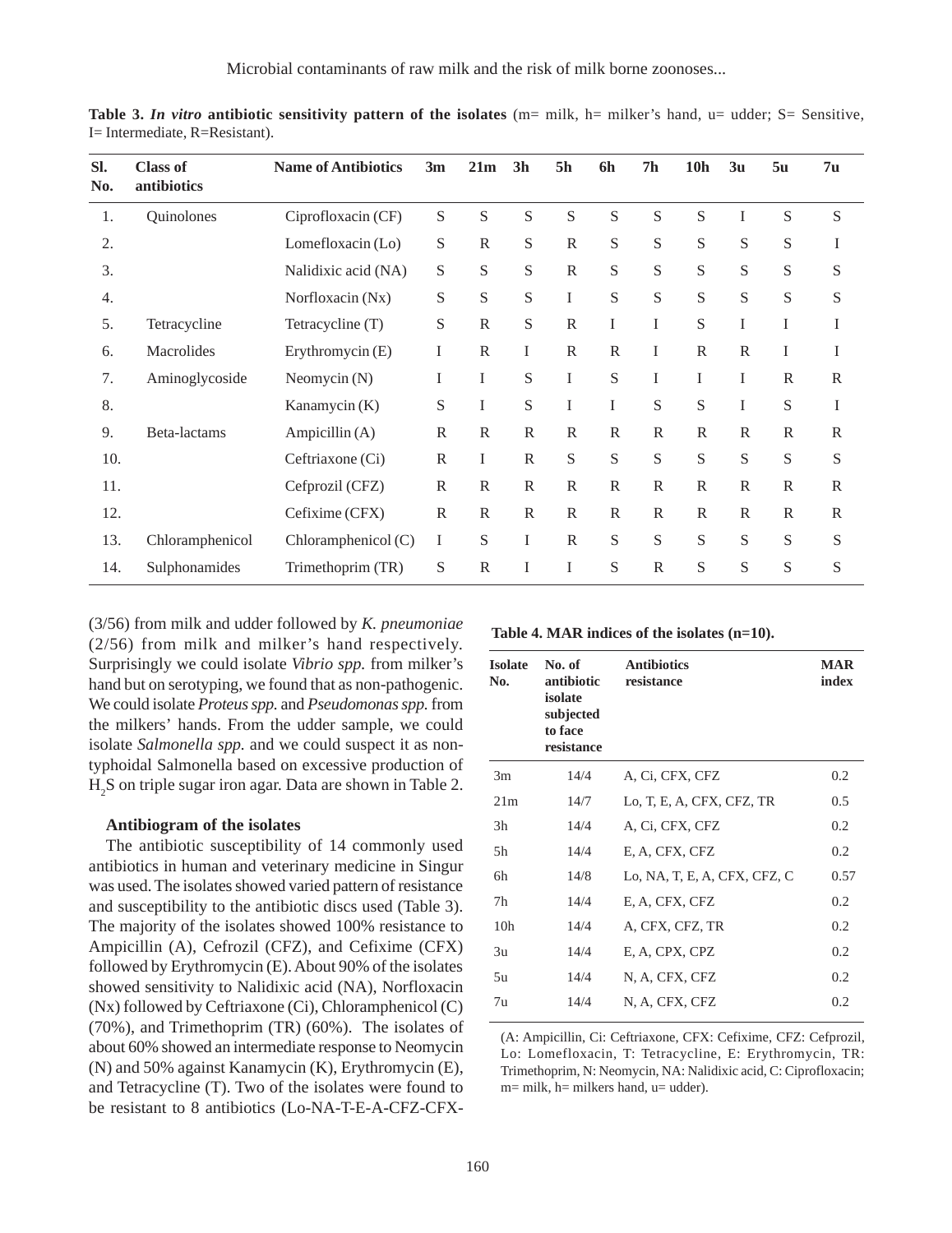| <b>Class of</b><br>antibiotics | <b>Name of Antibiotics</b> | 3m           | 21m          | 3 <sub>h</sub> | <b>5h</b>      | 6h           | 7 <sub>h</sub> | <b>10h</b>   | 3 <sub>u</sub> | 5u           | 7 <sub>u</sub> |  |
|--------------------------------|----------------------------|--------------|--------------|----------------|----------------|--------------|----------------|--------------|----------------|--------------|----------------|--|
| Quinolones                     | Ciprofloxacin (CF)         | S            | S            | S              | ${\mathcal S}$ | S            | S              | S            | T              | $\mathbf S$  | S              |  |
|                                | Lomefloxacin (Lo)          | S            | $\mathbb{R}$ | S              | $\mathbb{R}$   | ${\bf S}$    | S              | S            | S              | S            | I              |  |
|                                | Nalidixic acid (NA)        | S            | S            | S              | $\mathbb{R}$   | S            | S              | S            | S              | S            | ${\mathcal S}$ |  |
|                                | Norfloxacin (Nx)           | S            | S            | S              | I              | S            | S              | S            | S              | S            | ${\mathcal S}$ |  |
| Tetracycline                   | Tetracycline (T)           | S            | $\mathbb{R}$ | S              | $\mathbb{R}$   | $\bf{I}$     | I              | S            | I              | I            | I              |  |
| Macrolides                     | Erythromycin (E)           | I            | $\mathbb{R}$ | $\bf{I}$       | $\mathbb{R}$   | $\mathbb{R}$ | I              | $\mathbf R$  | $\mathbb{R}$   | I            | I              |  |
| Aminoglycoside                 | Neomycin (N)               | I            | I            | S              | I              | S            | I              | I            | T              | $\mathbb{R}$ | $\mathbb R$    |  |
|                                | Kanamycin (K)              | S            | I            | S              | $\rm I$        | $\bf{I}$     | S              | S            | $\mathbf I$    | S            | I              |  |
| Beta-lactams                   | Ampicillin (A)             | $\mathbb{R}$ | $\mathbb{R}$ | $\mathbb{R}$   | $\mathbb{R}$   | $\mathbb{R}$ | $\mathsf{R}$   | $\mathsf{R}$ | $\mathbb{R}$   | $\mathbb{R}$ | $\mathbb{R}$   |  |
|                                | Ceftriaxone (Ci)           | $\mathbb{R}$ | I            | $\mathbb{R}$   | S              | S            | S              | S            | S              | S            | ${\mathcal S}$ |  |
|                                | Cefprozil (CFZ)            | $\mathbb{R}$ | $\mathbb{R}$ | $\mathbb{R}$   | $\mathbb{R}$   | $\mathbb{R}$ | $\mathbb{R}$   | $\mathbb{R}$ | $\mathbb{R}$   | $\mathbb{R}$ | $\mathbb{R}$   |  |
|                                | Cefixime (CFX)             | $\mathbb{R}$ | $\mathbb{R}$ | $\mathbb{R}$   | $\mathbb{R}$   | $\mathbb{R}$ | $\mathbb{R}$   | $\mathbb{R}$ | $\mathbb{R}$   | $\mathbb{R}$ | $\mathbb{R}$   |  |
| Chloramphenicol                | Chloramphenicol (C)        | I            | S            | I              | $\mathbb{R}$   | S            | S              | S            | S              | $\mathbf S$  | ${\mathcal S}$ |  |
| Sulphonamides                  | Trimethoprim (TR)          | S            | $\mathbb{R}$ | I              | I              | S            | $\mathbb{R}$   | S            | S              | S            | $\mathbf S$    |  |
|                                |                            |              |              |                |                |              |                |              |                |              |                |  |

**Table 3.** *In vitro* **antibiotic sensitivity pattern of the isolates** (m= milk, h= milker's hand, u= udder; S= Sensitive, I= Intermediate, R=Resistant).

(3/56) from milk and udder followed by *K. pneumoniae* (2/56) from milk and milker's hand respectively. Surprisingly we could isolate *Vibrio spp.* from milker's hand but on serotyping, we found that as non-pathogenic. We could isolate *Proteus spp.* and *Pseudomonas spp.* from the milkers' hands. From the udder sample, we could isolate *Salmonella spp.* and we could suspect it as nontyphoidal Salmonella based on excessive production of H2 S on triple sugar iron agar. Data are shown in Table 2.

#### **Antibiogram of the isolates**

The antibiotic susceptibility of 14 commonly used antibiotics in human and veterinary medicine in Singur was used. The isolates showed varied pattern of resistance and susceptibility to the antibiotic discs used (Table 3). The majority of the isolates showed 100% resistance to Ampicillin (A), Cefrozil (CFZ), and Cefixime (CFX) followed by Erythromycin (E). About 90% of the isolates showed sensitivity to Nalidixic acid (NA), Norfloxacin (Nx) followed by Ceftriaxone (Ci), Chloramphenicol (C) (70%), and Trimethoprim (TR) (60%). The isolates of about 60% showed an intermediate response to Neomycin (N) and 50% against Kanamycin (K), Erythromycin (E), and Tetracycline (T). Two of the isolates were found to be resistant to 8 antibiotics (Lo-NA-T-E-A-CFZ-CFX-

**Table 4. MAR indices of the isolates (n=10).**

| <b>Isolate</b><br>No. | No. of<br>antibiotic<br>isolate<br>subjected<br>to face<br>resistance | <b>Antibiotics</b><br>resistance | <b>MAR</b><br>index |
|-----------------------|-----------------------------------------------------------------------|----------------------------------|---------------------|
| 3m                    | 14/4                                                                  | A, Ci, CFX, CFZ                  | 0.2                 |
| 21m                   | 14/7                                                                  | Lo, T, E, A, CFX, CFZ, TR        | 0.5                 |
| 3h                    | 14/4                                                                  | A, Ci, CFX, CFZ                  | 0.2                 |
| 5h                    | 14/4                                                                  | E, A, CFX, CFZ                   | 0.2                 |
| 6h                    | 14/8                                                                  | Lo, NA, T, E, A, CFX, CFZ, C     | 0.57                |
| 7h                    | 14/4                                                                  | E, A, CFX, CFZ                   | 0.2                 |
| 10 <sub>h</sub>       | 14/4                                                                  | A, CFX, CFZ, TR                  | 0.2                 |
| 3u                    | 14/4                                                                  | E, A, CPX, CPZ                   | 0.2                 |
| 5u                    | 14/4                                                                  | N, A, CFX, CFZ                   | 0.2                 |
| 7u                    | 14/4                                                                  | N, A, CFX, CFZ                   | 0.2                 |

(A: Ampicillin, Ci: Ceftriaxone, CFX: Cefixime, CFZ: Cefprozil, Lo: Lomefloxacin, T: Tetracycline, E: Erythromycin, TR: Trimethoprim, N: Neomycin, NA: Nalidixic acid, C: Ciprofloxacin;  $m=$  milk,  $h=$  milkers hand,  $u=$  udder).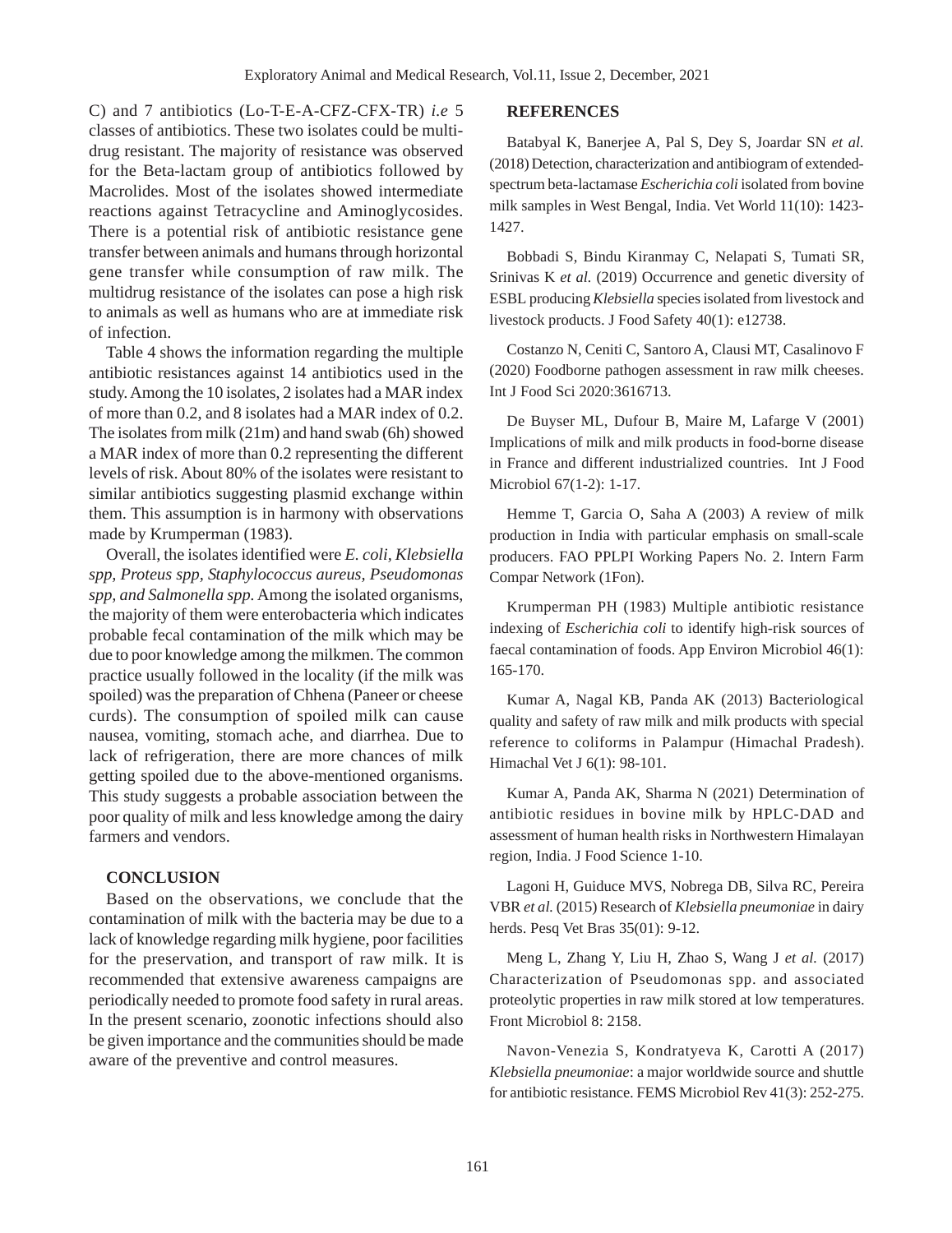C) and 7 antibiotics (Lo-T-E-A-CFZ-CFX-TR) *i.e* 5 classes of antibiotics. These two isolates could be multidrug resistant. The majority of resistance was observed for the Beta-lactam group of antibiotics followed by Macrolides. Most of the isolates showed intermediate reactions against Tetracycline and Aminoglycosides. There is a potential risk of antibiotic resistance gene transfer between animals and humans through horizontal gene transfer while consumption of raw milk. The multidrug resistance of the isolates can pose a high risk to animals as well as humans who are at immediate risk of infection.

Table 4 shows the information regarding the multiple antibiotic resistances against 14 antibiotics used in the study. Among the 10 isolates, 2 isolates had a MAR index of more than 0.2, and 8 isolates had a MAR index of 0.2. The isolates from milk (21m) and hand swab (6h) showed a MAR index of more than 0.2 representing the different levels of risk. About 80% of the isolates were resistant to similar antibiotics suggesting plasmid exchange within them. This assumption is in harmony with observations made by Krumperman (1983).

Overall, the isolates identified were *E. coli, Klebsiella spp, Proteus spp, Staphylococcus aureus, Pseudomonas spp, and Salmonella spp.* Among the isolated organisms, the majority of them were enterobacteria which indicates probable fecal contamination of the milk which may be due to poor knowledge among the milkmen. The common practice usually followed in the locality (if the milk was spoiled) was the preparation of Chhena (Paneer or cheese curds). The consumption of spoiled milk can cause nausea, vomiting, stomach ache, and diarrhea. Due to lack of refrigeration, there are more chances of milk getting spoiled due to the above-mentioned organisms. This study suggests a probable association between the poor quality of milk and less knowledge among the dairy farmers and vendors.

## **CONCLUSION**

Based on the observations, we conclude that the contamination of milk with the bacteria may be due to a lack of knowledge regarding milk hygiene, poor facilities for the preservation, and transport of raw milk. It is recommended that extensive awareness campaigns are periodically needed to promote food safety in rural areas. In the present scenario, zoonotic infections should also be given importance and the communities should be made aware of the preventive and control measures.

#### **REFERENCES**

Batabyal K, Banerjee A, Pal S, Dey S, Joardar SN *et al.* (2018) Detection, characterization and antibiogram of extendedspectrum beta-lactamase *Escherichia coli* isolated from bovine milk samples in West Bengal, India. Vet World 11(10): 1423- 1427.

Bobbadi S, Bindu Kiranmay C, Nelapati S, Tumati SR, Srinivas K et al. (2019) Occurrence and genetic diversity of ESBL producing *Klebsiella* species isolated from livestock and livestock products. J Food Safety 40(1): e12738.

Costanzo N, Ceniti C, Santoro A, Clausi MT, Casalinovo F (2020) Foodborne pathogen assessment in raw milk cheeses. Int J Food Sci 2020:3616713.

De Buyser ML, Dufour B, Maire M, Lafarge V (2001) Implications of milk and milk products in food-borne disease in France and different industrialized countries. Int J Food Microbiol 67(1-2): 1-17.

Hemme T, Garcia O, Saha A (2003) A review of milk production in India with particular emphasis on small-scale producers. FAO PPLPI Working Papers No. 2. Intern Farm Compar Network (1Fon).

Krumperman PH (1983) Multiple antibiotic resistance indexing of *Escherichia coli* to identify high-risk sources of faecal contamination of foods. App Environ Microbiol 46(1): 165-170.

Kumar A, Nagal KB, Panda AK (2013) Bacteriological quality and safety of raw milk and milk products with special reference to coliforms in Palampur (Himachal Pradesh). Himachal Vet J 6(1): 98-101.

Kumar A, Panda AK, Sharma N (2021) Determination of antibiotic residues in bovine milk by HPLC-DAD and assessment of human health risks in Northwestern Himalayan region, India. J Food Science 1-10.

Lagoni H, Guiduce MVS, Nobrega DB, Silva RC, Pereira VBR *et al.* (2015) Research of *Klebsiella pneumoniae* in dairy herds. Pesq Vet Bras 35(01): 9-12.

Meng L, Zhang Y, Liu H, Zhao S, Wang J *et al.* (2017) Characterization of Pseudomonas spp. and associated proteolytic properties in raw milk stored at low temperatures. Front Microbiol 8: 2158.

Navon-Venezia S, Kondratyeva K, Carotti A (2017) *Klebsiella pneumoniae*: a major worldwide source and shuttle for antibiotic resistance. FEMS Microbiol Rev 41(3): 252-275.